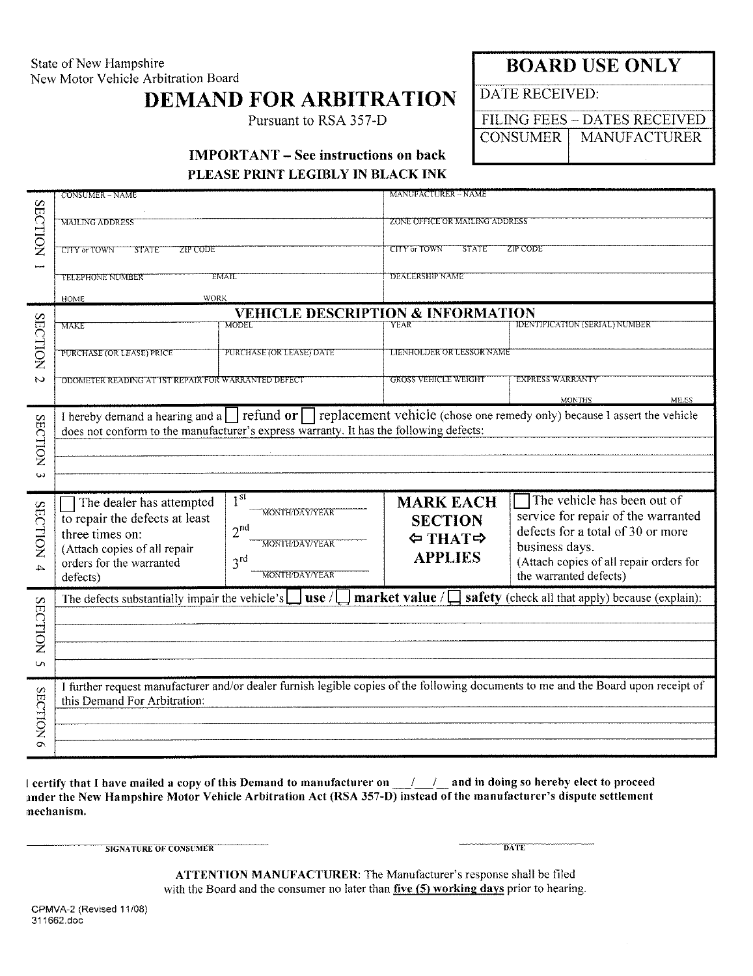State of New Hampshire New Motor Vehicle Arbitration Board

## **DEMAND FOR ARBITRATION**

Pursuant to RSA 357-D

**BOARD USE ONLY** 

**DATE RECEIVED:** 

FILING FEES - DATES RECEIVED **CONSUMER MANUFACTURER** 

## **IMPORTANT – See instructions on back**

PLEASE PRINT LEGIBLY IN BLACK INK

| <b>SECTION</b>      | CONSUMER – NAME                                                                                                                                                                                                                                                      | MANUFACTURER - NAME                                                                                                                                                                                                                                               |
|---------------------|----------------------------------------------------------------------------------------------------------------------------------------------------------------------------------------------------------------------------------------------------------------------|-------------------------------------------------------------------------------------------------------------------------------------------------------------------------------------------------------------------------------------------------------------------|
|                     | <b>MAILING ADDRESS</b>                                                                                                                                                                                                                                               | ZONE OFFICE OR MAILING ADDRESS                                                                                                                                                                                                                                    |
|                     | CITY or TOWN<br><b>ZIP CODE</b><br><b>STATE</b>                                                                                                                                                                                                                      | <b>CITY or TOWN</b><br><b>STATE</b><br>ZIP CODE                                                                                                                                                                                                                   |
|                     | TELEPHONE NUMBER<br><b>EMAIL</b>                                                                                                                                                                                                                                     | <b>DEALERSHIP NAME</b>                                                                                                                                                                                                                                            |
|                     | WORK<br><b>HOME</b>                                                                                                                                                                                                                                                  |                                                                                                                                                                                                                                                                   |
| <b>SECTION</b>      | MODEL<br>MAKE                                                                                                                                                                                                                                                        | <b>VEHICLE DESCRIPTION &amp; INFORMATION</b><br><b>IDENTIFICATION (SERIAL) NUMBER</b><br><b>YEAR</b>                                                                                                                                                              |
|                     | PURCHASE (OR LEASE) DATE<br>PURCHASE (OR LEASE) PRICE                                                                                                                                                                                                                | LIENHOLDER OR LESSOR NAME                                                                                                                                                                                                                                         |
| $\sim$              | ODOMETER READING AT IST REPAIR FOR WARRANTED DEFECT                                                                                                                                                                                                                  | <b>GROSS VEHICLE WEIGHT</b><br>EXPRESS WARRANTY                                                                                                                                                                                                                   |
|                     |                                                                                                                                                                                                                                                                      | <b>MONTHS</b><br>MILES                                                                                                                                                                                                                                            |
| <b>SECTION</b>      | I hereby demand a hearing and a $\Box$ refund or $\Box$ replacement vehicle (chose one remedy only) because I assert the vehicle<br>does not conform to the manufacturer's express warranty. It has the following defects:                                           |                                                                                                                                                                                                                                                                   |
| ىن                  |                                                                                                                                                                                                                                                                      |                                                                                                                                                                                                                                                                   |
| <b>SECTION</b><br>4 | 1 <sup>st</sup><br>The dealer has attempted<br>MONTH/DAY/YEAR<br>to repair the defects at least<br>2 <sup>nd</sup><br>three times on:<br>MONTH/DAY/YEAR<br>(Attach copies of all repair<br>3 <sup>rd</sup><br>orders for the warranted<br>MONTH/DAY/YEAR<br>defects) | The vehicle has been out of<br><b>MARK EACH</b><br>service for repair of the warranted<br><b>SECTION</b><br>defects for a total of 30 or more<br>⇔ ТНАТ⇒<br>business days.<br><b>APPLIES</b><br>(Attach copies of all repair orders for<br>the warranted defects) |
|                     | market value / $\square$<br>safety (check all that apply) because (explain):<br>The defects substantially impair the vehicle's<br>use/                                                                                                                               |                                                                                                                                                                                                                                                                   |
|                     |                                                                                                                                                                                                                                                                      |                                                                                                                                                                                                                                                                   |
| <b>SECTION</b>      |                                                                                                                                                                                                                                                                      |                                                                                                                                                                                                                                                                   |
| $\sigma$            |                                                                                                                                                                                                                                                                      |                                                                                                                                                                                                                                                                   |
| <b>SECTION</b>      | I further request manufacturer and/or dealer furnish legible copies of the following documents to me and the Board upon receipt of<br>this Demand For Arbitration:                                                                                                   |                                                                                                                                                                                                                                                                   |
|                     |                                                                                                                                                                                                                                                                      |                                                                                                                                                                                                                                                                   |
| $\sigma$            |                                                                                                                                                                                                                                                                      |                                                                                                                                                                                                                                                                   |
|                     |                                                                                                                                                                                                                                                                      |                                                                                                                                                                                                                                                                   |

l certify that I have mailed a copy of this Demand to manufacturer on 11 1000 and in doing so hereby elect to proceed ander the New Hampshire Motor Vehicle Arbitration Act (RSA 357-D) instead of the manufacturer's dispute settlement mechanism.

SIGNATURE OF CONSUMER

**DATE** 

ATTENTION MANUFACTURER: The Manufacturer's response shall be filed with the Board and the consumer no later than five  $(5)$  working days prior to hearing.